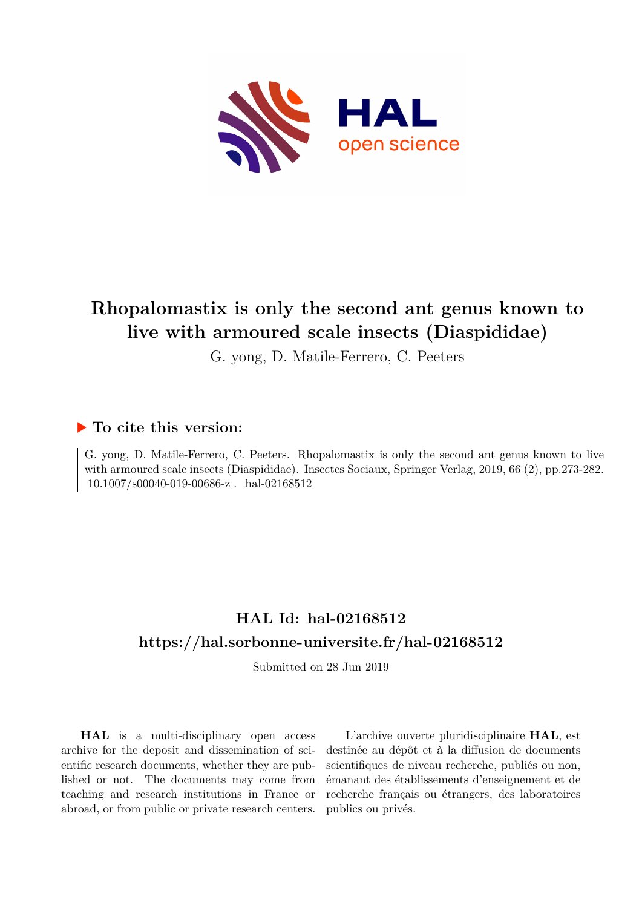

# **Rhopalomastix is only the second ant genus known to live with armoured scale insects (Diaspididae)**

G. yong, D. Matile-Ferrero, C. Peeters

# **To cite this version:**

G. yong, D. Matile-Ferrero, C. Peeters. Rhopalomastix is only the second ant genus known to live with armoured scale insects (Diaspididae). Insectes Sociaux, Springer Verlag, 2019, 66 (2), pp.273-282.  $10.1007/s00040-019-00686-z$ . hal-02168512

# **HAL Id: hal-02168512 <https://hal.sorbonne-universite.fr/hal-02168512>**

Submitted on 28 Jun 2019

**HAL** is a multi-disciplinary open access archive for the deposit and dissemination of scientific research documents, whether they are published or not. The documents may come from teaching and research institutions in France or abroad, or from public or private research centers.

L'archive ouverte pluridisciplinaire **HAL**, est destinée au dépôt et à la diffusion de documents scientifiques de niveau recherche, publiés ou non, émanant des établissements d'enseignement et de recherche français ou étrangers, des laboratoires publics ou privés.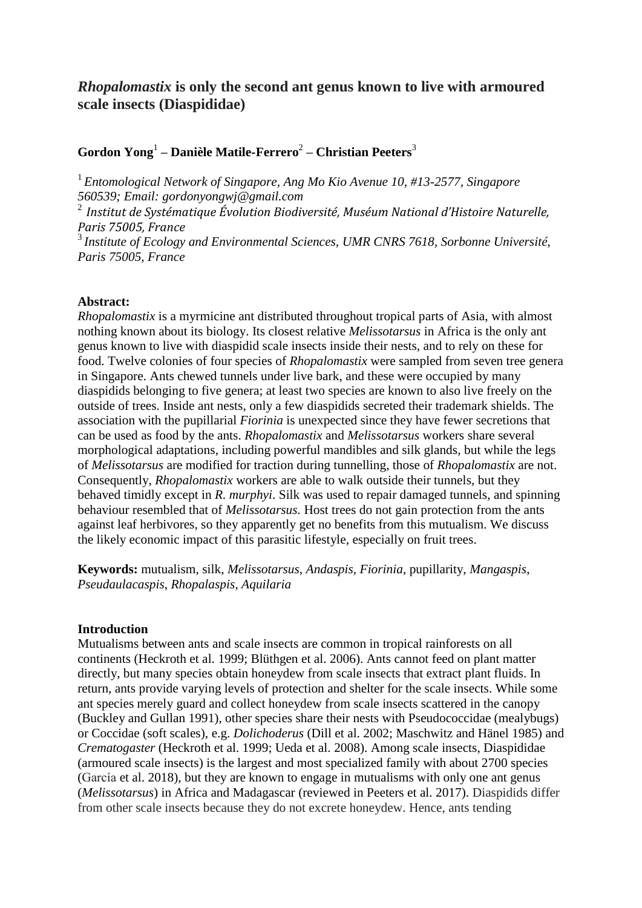# *Rhopalomastix* **is only the second ant genus known to live with armoured scale insects (Diaspididae)**

# **Gordon Yong**<sup>1</sup> **– Danièle Matile-Ferrero**<sup>2</sup> **– Christian Peeters**<sup>3</sup>

<sup>1</sup>*Entomological Network of Singapore, Ang Mo Kio Avenue 10, #13-2577, Singapore 560539; Email: gordonyongwj@gmail.com* <sup>2</sup> Institut de Systématique Évolution Biodiversité, Muséum National d'Histoire Naturelle, *Paris 75005, France* <sup>3</sup>*Institute of Ecology and Environmental Sciences, UMR CNRS 7618, Sorbonne Université, Paris 75005, France*

## **Abstract:**

*Rhopalomastix* is a myrmicine ant distributed throughout tropical parts of Asia, with almost nothing known about its biology. Its closest relative *Melissotarsus* in Africa is the only ant genus known to live with diaspidid scale insects inside their nests, and to rely on these for food. Twelve colonies of four species of *Rhopalomastix* were sampled from seven tree genera in Singapore. Ants chewed tunnels under live bark, and these were occupied by many diaspidids belonging to five genera; at least two species are known to also live freely on the outside of trees. Inside ant nests, only a few diaspidids secreted their trademark shields. The association with the pupillarial *Fiorinia* is unexpected since they have fewer secretions that can be used as food by the ants. *Rhopalomastix* and *Melissotarsus* workers share several morphological adaptations, including powerful mandibles and silk glands, but while the legs of *Melissotarsus* are modified for traction during tunnelling, those of *Rhopalomastix* are not. Consequently, *Rhopalomastix* workers are able to walk outside their tunnels, but they behaved timidly except in *R. murphyi*. Silk was used to repair damaged tunnels, and spinning behaviour resembled that of *Melissotarsus.* Host trees do not gain protection from the ants against leaf herbivores, so they apparently get no benefits from this mutualism. We discuss the likely economic impact of this parasitic lifestyle, especially on fruit trees.

**Keywords:** mutualism, silk, *Melissotarsus, Andaspis, Fiorinia*, pupillarity, *Mangaspis*, *Pseudaulacaspis*, *Rhopalaspis, Aquilaria*

#### **Introduction**

Mutualisms between ants and scale insects are common in tropical rainforests on all continents (Heckroth et al. 1999; Blüthgen et al. 2006). Ants cannot feed on plant matter directly, but many species obtain honeydew from scale insects that extract plant fluids. In return, ants provide varying levels of protection and shelter for the scale insects. While some ant species merely guard and collect honeydew from scale insects scattered in the canopy (Buckley and Gullan 1991), other species share their nests with Pseudococcidae (mealybugs) or Coccidae (soft scales), e.g. *Dolichoderus* (Dill et al. 2002; Maschwitz and Hänel 1985) and *Crematogaster* (Heckroth et al. 1999; Ueda et al. 2008). Among scale insects, Diaspididae (armoured scale insects) is the largest and most specialized family with about 2700 species  $(Garcia et al. 2018)$ , but they are known to engage in mutualisms with only one ant genus (*Melissotarsus*) in Africa and Madagascar (reviewed in Peeters et al. 2017). Diaspidids differ from other scale insects because they do not excrete honeydew. Hence, ants tending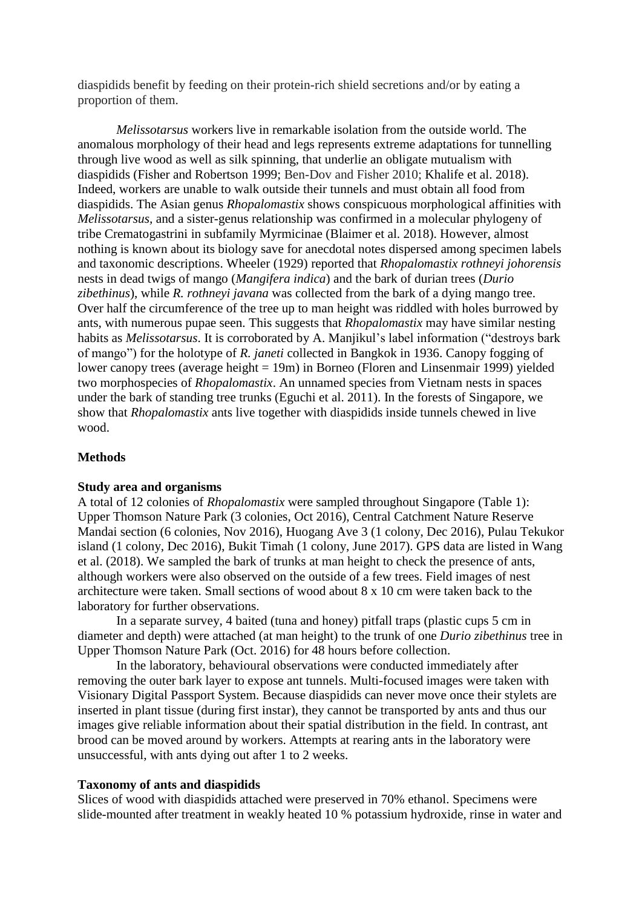diaspidids benefit by feeding on their protein-rich shield secretions and/or by eating a proportion of them.

*Melissotarsus* workers live in remarkable isolation from the outside world. The anomalous morphology of their head and legs represents extreme adaptations for tunnelling through live wood as well as silk spinning, that underlie an obligate mutualism with diaspidids (Fisher and Robertson 1999; Ben-Dov and Fisher 2010; Khalife et al. 2018). Indeed, workers are unable to walk outside their tunnels and must obtain all food from diaspidids. The Asian genus *Rhopalomastix* shows conspicuous morphological affinities with *Melissotarsus,* and a sister-genus relationship was confirmed in a molecular phylogeny of tribe Crematogastrini in subfamily Myrmicinae (Blaimer et al. 2018). However, almost nothing is known about its biology save for anecdotal notes dispersed among specimen labels and taxonomic descriptions. Wheeler (1929) reported that *Rhopalomastix rothneyi johorensis* nests in dead twigs of mango (*Mangifera indica*) and the bark of durian trees (*Durio zibethinus*), while *R. rothneyi javana* was collected from the bark of a dying mango tree. Over half the circumference of the tree up to man height was riddled with holes burrowed by ants, with numerous pupae seen. This suggests that *Rhopalomastix* may have similar nesting habits as *Melissotarsus*. It is corroborated by A. Maniikul's label information ("destroys bark of mango") for the holotype of *R. janeti* collected in Bangkok in 1936. Canopy fogging of lower canopy trees (average height = 19m) in Borneo (Floren and Linsenmair 1999) yielded two morphospecies of *Rhopalomastix*. An unnamed species from Vietnam nests in spaces under the bark of standing tree trunks (Eguchi et al. 2011). In the forests of Singapore, we show that *Rhopalomastix* ants live together with diaspidids inside tunnels chewed in live wood.

#### **Methods**

#### **Study area and organisms**

A total of 12 colonies of *Rhopalomastix* were sampled throughout Singapore (Table 1): Upper Thomson Nature Park (3 colonies, Oct 2016), Central Catchment Nature Reserve Mandai section (6 colonies, Nov 2016), Huogang Ave 3 (1 colony, Dec 2016), Pulau Tekukor island (1 colony, Dec 2016), Bukit Timah (1 colony, June 2017). GPS data are listed in Wang et al. (2018). We sampled the bark of trunks at man height to check the presence of ants, although workers were also observed on the outside of a few trees. Field images of nest architecture were taken. Small sections of wood about 8 x 10 cm were taken back to the laboratory for further observations.

In a separate survey, 4 baited (tuna and honey) pitfall traps (plastic cups 5 cm in diameter and depth) were attached (at man height) to the trunk of one *Durio zibethinus* tree in Upper Thomson Nature Park (Oct. 2016) for 48 hours before collection.

In the laboratory, behavioural observations were conducted immediately after removing the outer bark layer to expose ant tunnels. Multi-focused images were taken with Visionary Digital Passport System. Because diaspidids can never move once their stylets are inserted in plant tissue (during first instar), they cannot be transported by ants and thus our images give reliable information about their spatial distribution in the field. In contrast, ant brood can be moved around by workers. Attempts at rearing ants in the laboratory were unsuccessful, with ants dying out after 1 to 2 weeks.

#### **Taxonomy of ants and diaspidids**

Slices of wood with diaspidids attached were preserved in 70% ethanol. Specimens were slide-mounted after treatment in weakly heated 10 % potassium hydroxide, rinse in water and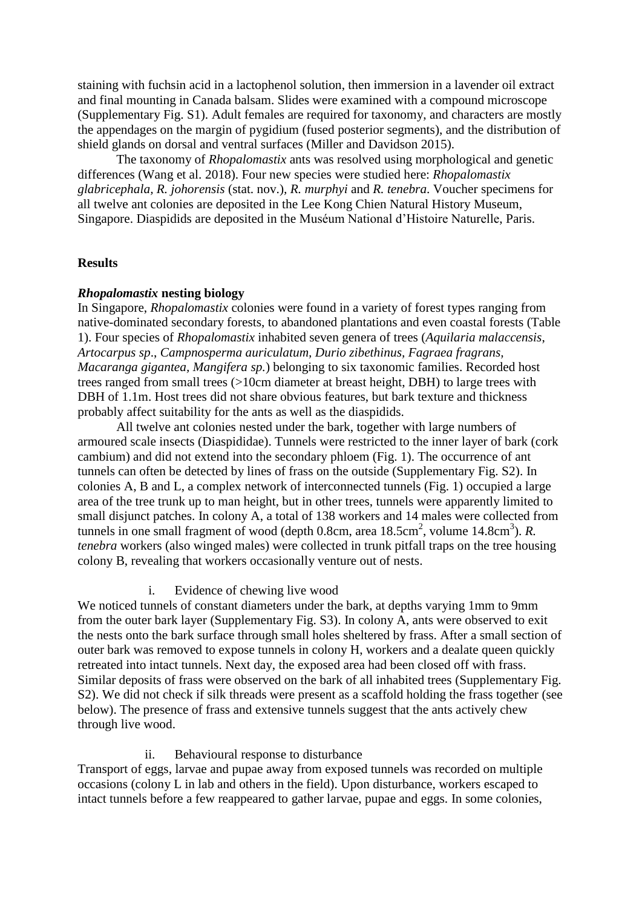staining with fuchsin acid in a lactophenol solution, then immersion in a lavender oil extract and final mounting in Canada balsam. Slides were examined with a compound microscope (Supplementary Fig. S1). Adult females are required for taxonomy, and characters are mostly the appendages on the margin of pygidium (fused posterior segments), and the distribution of shield glands on dorsal and ventral surfaces (Miller and Davidson 2015).

The taxonomy of *Rhopalomastix* ants was resolved using morphological and genetic differences (Wang et al. 2018). Four new species were studied here: *Rhopalomastix glabricephala, R. johorensis* (stat. nov.)*, R. murphyi* and *R. tenebra*. Voucher specimens for all twelve ant colonies are deposited in the Lee Kong Chien Natural History Museum, Singapore. Diaspidids are deposited in the Muséum National d'Histoire Naturelle, Paris.

#### **Results**

#### *Rhopalomastix* **nesting biology**

In Singapore, *Rhopalomastix* colonies were found in a variety of forest types ranging from native-dominated secondary forests, to abandoned plantations and even coastal forests (Table 1). Four species of *Rhopalomastix* inhabited seven genera of trees (*Aquilaria malaccensis*, *Artocarpus sp*., *Campnosperma auriculatum, Durio zibethinus, Fagraea fragrans, Macaranga gigantea, Mangifera sp.*) belonging to six taxonomic families. Recorded host trees ranged from small trees (>10cm diameter at breast height, DBH) to large trees with DBH of 1.1m. Host trees did not share obvious features, but bark texture and thickness probably affect suitability for the ants as well as the diaspidids.

All twelve ant colonies nested under the bark, together with large numbers of armoured scale insects (Diaspididae). Tunnels were restricted to the inner layer of bark (cork cambium) and did not extend into the secondary phloem (Fig. 1). The occurrence of ant tunnels can often be detected by lines of frass on the outside (Supplementary Fig. S2). In colonies A, B and L, a complex network of interconnected tunnels (Fig. 1) occupied a large area of the tree trunk up to man height, but in other trees, tunnels were apparently limited to small disjunct patches. In colony A, a total of 138 workers and 14 males were collected from tunnels in one small fragment of wood (depth  $0.8$ cm, area  $18.5$ cm<sup>2</sup>, volume  $14.8$ cm<sup>3</sup>). *R*. *tenebra* workers (also winged males) were collected in trunk pitfall traps on the tree housing colony B, revealing that workers occasionally venture out of nests.

#### i. Evidence of chewing live wood

We noticed tunnels of constant diameters under the bark, at depths varying 1mm to 9mm from the outer bark layer (Supplementary Fig. S3). In colony A, ants were observed to exit the nests onto the bark surface through small holes sheltered by frass. After a small section of outer bark was removed to expose tunnels in colony H, workers and a dealate queen quickly retreated into intact tunnels. Next day, the exposed area had been closed off with frass. Similar deposits of frass were observed on the bark of all inhabited trees (Supplementary Fig. S2). We did not check if silk threads were present as a scaffold holding the frass together (see below). The presence of frass and extensive tunnels suggest that the ants actively chew through live wood.

## ii. Behavioural response to disturbance

Transport of eggs, larvae and pupae away from exposed tunnels was recorded on multiple occasions (colony L in lab and others in the field). Upon disturbance, workers escaped to intact tunnels before a few reappeared to gather larvae, pupae and eggs. In some colonies,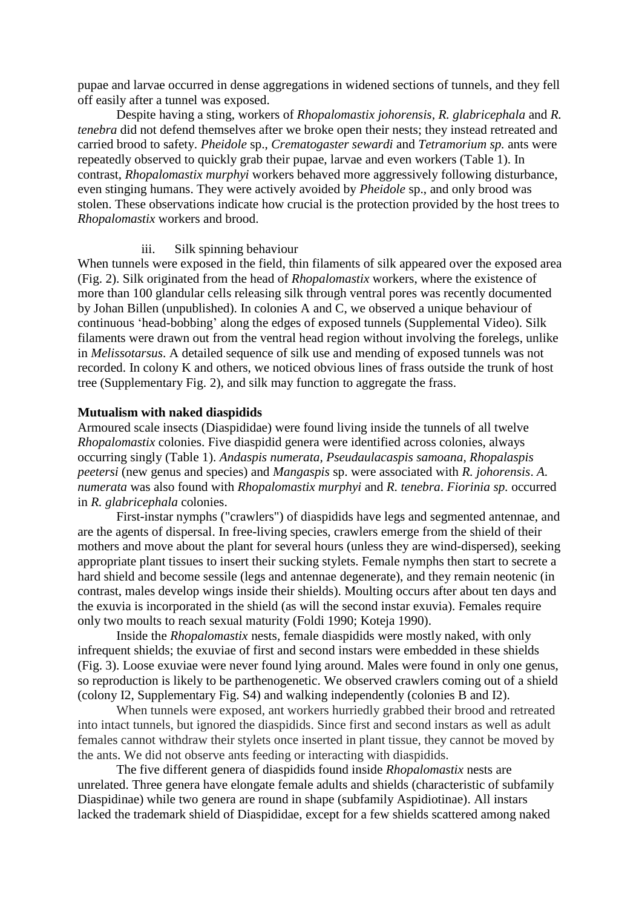pupae and larvae occurred in dense aggregations in widened sections of tunnels, and they fell off easily after a tunnel was exposed.

Despite having a sting, workers of *Rhopalomastix johorensis, R. glabricephala* and *R. tenebra* did not defend themselves after we broke open their nests; they instead retreated and carried brood to safety. *Pheidole* sp., *Crematogaster sewardi* and *Tetramorium sp.* ants were repeatedly observed to quickly grab their pupae, larvae and even workers (Table 1). In contrast, *Rhopalomastix murphyi* workers behaved more aggressively following disturbance, even stinging humans. They were actively avoided by *Pheidole* sp., and only brood was stolen. These observations indicate how crucial is the protection provided by the host trees to *Rhopalomastix* workers and brood.

#### iii. Silk spinning behaviour

When tunnels were exposed in the field, thin filaments of silk appeared over the exposed area (Fig. 2). Silk originated from the head of *Rhopalomastix* workers, where the existence of more than 100 glandular cells releasing silk through ventral pores was recently documented by Johan Billen (unpublished). In colonies A and C, we observed a unique behaviour of continuous 'head-bobbing' along the edges of exposed tunnels (Supplemental Video). Silk filaments were drawn out from the ventral head region without involving the forelegs, unlike in *Melissotarsus*. A detailed sequence of silk use and mending of exposed tunnels was not recorded. In colony K and others, we noticed obvious lines of frass outside the trunk of host tree (Supplementary Fig. 2), and silk may function to aggregate the frass.

#### **Mutualism with naked diaspidids**

Armoured scale insects (Diaspididae) were found living inside the tunnels of all twelve *Rhopalomastix* colonies. Five diaspidid genera were identified across colonies, always occurring singly (Table 1). *Andaspis numerata, Pseudaulacaspis samoana*, *Rhopalaspis peetersi* (new genus and species) and *Mangaspis* sp. were associated with *R. johorensis*. *A. numerata* was also found with *Rhopalomastix murphyi* and *R. tenebra*. *Fiorinia sp.* occurred in *R. glabricephala* colonies.

First-instar nymphs ("crawlers") of diaspidids have legs and segmented antennae, and are the agents of dispersal. In free-living species, crawlers emerge from the shield of their mothers and move about the plant for several hours (unless they are wind-dispersed), seeking appropriate plant tissues to insert their sucking stylets. Female nymphs then start to secrete a hard shield and become sessile (legs and antennae degenerate), and they remain neotenic (in contrast, males develop wings inside their shields). Moulting occurs after about ten days and the exuvia is incorporated in the shield (as will the second instar exuvia). Females require only two moults to reach sexual maturity (Foldi 1990; Koteja 1990).

Inside the *Rhopalomastix* nests*,* female diaspidids were mostly naked, with only infrequent shields; the exuviae of first and second instars were embedded in these shields (Fig. 3). Loose exuviae were never found lying around. Males were found in only one genus, so reproduction is likely to be parthenogenetic. We observed crawlers coming out of a shield (colony I2, Supplementary Fig. S4) and walking independently (colonies B and I2).

When tunnels were exposed, ant workers hurriedly grabbed their brood and retreated into intact tunnels, but ignored the diaspidids. Since first and second instars as well as adult females cannot withdraw their stylets once inserted in plant tissue, they cannot be moved by the ants. We did not observe ants feeding or interacting with diaspidids.

The five different genera of diaspidids found inside *Rhopalomastix* nests are unrelated. Three genera have elongate female adults and shields (characteristic of subfamily Diaspidinae) while two genera are round in shape (subfamily Aspidiotinae). All instars lacked the trademark shield of Diaspididae, except for a few shields scattered among naked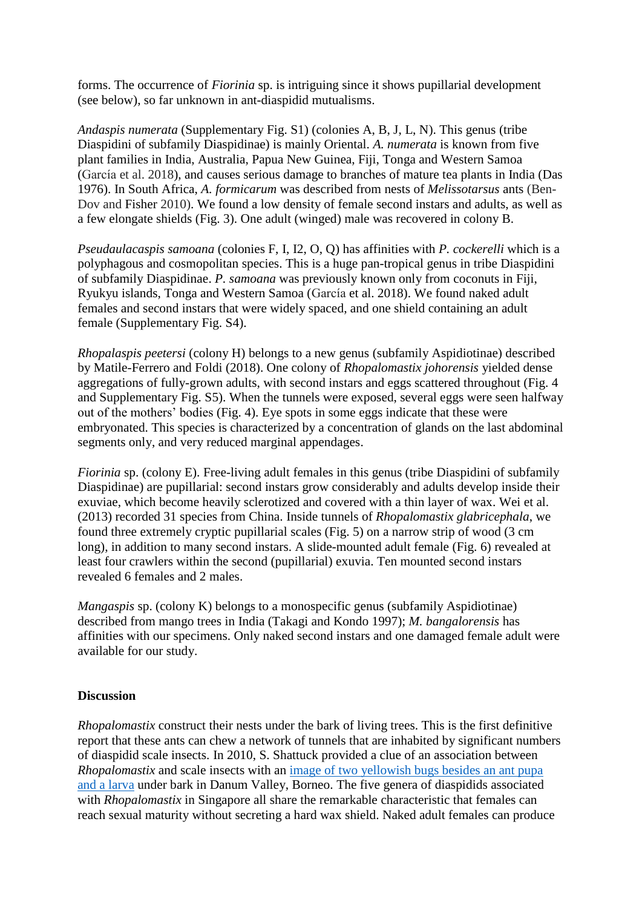forms. The occurrence of *Fiorinia* sp. is intriguing since it shows pupillarial development (see below), so far unknown in ant-diaspidid mutualisms.

*Andaspis numerata* (Supplementary Fig. S1) (colonies A, B, J, L, N). This genus (tribe Diaspidini of subfamily Diaspidinae) is mainly Oriental. *A. numerata* is known from five plant families in India, Australia, Papua New Guinea, Fiji, Tonga and Western Samoa  $\overline{a}$  (García et al. 2018), and causes serious damage to branches of mature tea plants in India (Das 1976). In South Africa, *A. formicarum* was described from nests of *Melissotarsus* ants (Ben-Dov and Fisher 2010). We found a low density of female second instars and adults, as well as a few elongate shields (Fig. 3). One adult (winged) male was recovered in colony B.

*Pseudaulacaspis samoana* (colonies F, I, I2, O, Q) has affinities with *P. cockerelli* which is a polyphagous and cosmopolitan species. This is a huge pan-tropical genus in tribe Diaspidini of subfamily Diaspidinae. *P. samoana* was previously known only from coconuts in Fiji, Ryukyu islands, Tonga and Western Samoa (García et al. 2018). We found naked adult females and second instars that were widely spaced, and one shield containing an adult female (Supplementary Fig. S4).

*Rhopalaspis peetersi* (colony H) belongs to a new genus (subfamily Aspidiotinae) described by Matile-Ferrero and Foldi (2018). One colony of *Rhopalomastix johorensis* yielded dense aggregations of fully-grown adults, with second instars and eggs scattered throughout (Fig. 4 and Supplementary Fig. S5). When the tunnels were exposed, several eggs were seen halfway out of the mothers' bodies (Fig. 4). Eye spots in some eggs indicate that these were embryonated. This species is characterized by a concentration of glands on the last abdominal segments only, and very reduced marginal appendages.

*Fiorinia* sp. (colony E). Free-living adult females in this genus (tribe Diaspidini of subfamily Diaspidinae) are pupillarial: second instars grow considerably and adults develop inside their exuviae, which become heavily sclerotized and covered with a thin layer of wax. Wei et al. (2013) recorded 31 species from China. Inside tunnels of *Rhopalomastix glabricephala*, we found three extremely cryptic pupillarial scales (Fig. 5) on a narrow strip of wood (3 cm long), in addition to many second instars. A slide-mounted adult female (Fig. 6) revealed at least four crawlers within the second (pupillarial) exuvia. Ten mounted second instars revealed 6 females and 2 males.

*Mangaspis* sp. (colony K) belongs to a monospecific genus (subfamily Aspidiotinae) described from mango trees in India (Takagi and Kondo 1997); *M. bangalorensis* has affinities with our specimens. Only naked second instars and one damaged female adult were available for our study.

#### **Discussion**

*Rhopalomastix* construct their nests under the bark of living trees. This is the first definitive report that these ants can chew a network of tunnels that are inhabited by significant numbers of diaspidid scale insects. In 2010, S. Shattuck provided a clue of an association between *Rhopalomastix* and scale insects with an [image of two yellowish bugs besides an ant pupa](http://www.antwiki.org/wiki/Rhopalomastix)  [and a larva](http://www.antwiki.org/wiki/Rhopalomastix) under bark in Danum Valley, Borneo. The five genera of diaspidids associated with *Rhopalomastix* in Singapore all share the remarkable characteristic that females can reach sexual maturity without secreting a hard wax shield. Naked adult females can produce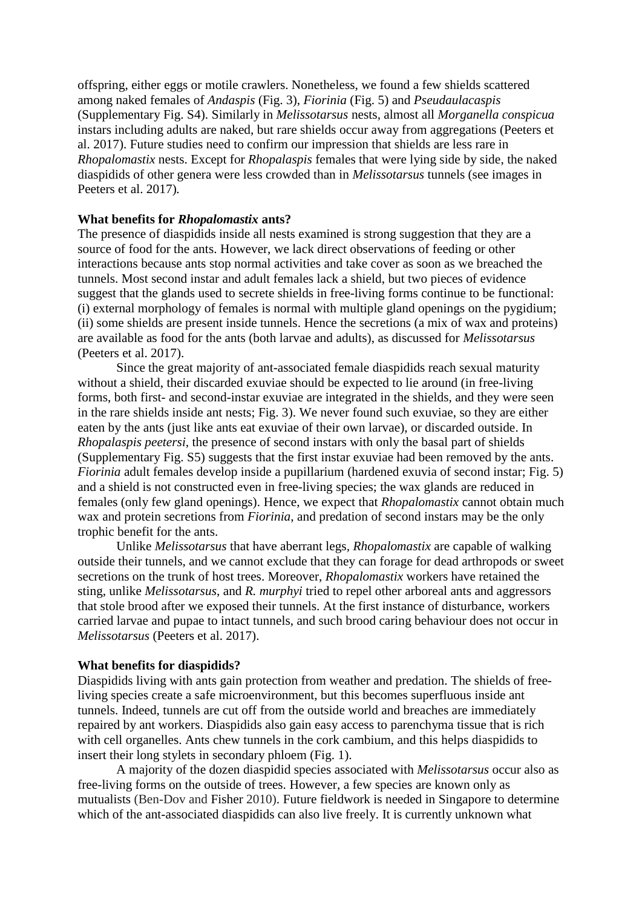offspring, either eggs or motile crawlers. Nonetheless, we found a few shields scattered among naked females of *Andaspis* (Fig. 3), *Fiorinia* (Fig. 5) and *Pseudaulacaspis* (Supplementary Fig. S4). Similarly in *Melissotarsus* nests*,* almost all *Morganella conspicua* instars including adults are naked, but rare shields occur away from aggregations (Peeters et al. 2017). Future studies need to confirm our impression that shields are less rare in *Rhopalomastix* nests. Except for *Rhopalaspis* females that were lying side by side, the naked diaspidids of other genera were less crowded than in *Melissotarsus* tunnels (see images in Peeters et al. 2017)*.*

## **What benefits for** *Rhopalomastix* **ants?**

The presence of diaspidids inside all nests examined is strong suggestion that they are a source of food for the ants. However, we lack direct observations of feeding or other interactions because ants stop normal activities and take cover as soon as we breached the tunnels. Most second instar and adult females lack a shield, but two pieces of evidence suggest that the glands used to secrete shields in free-living forms continue to be functional: (i) external morphology of females is normal with multiple gland openings on the pygidium; (ii) some shields are present inside tunnels. Hence the secretions (a mix of wax and proteins) are available as food for the ants (both larvae and adults), as discussed for *Melissotarsus* (Peeters et al. 2017).

Since the great majority of ant-associated female diaspidids reach sexual maturity without a shield, their discarded exuviae should be expected to lie around (in free-living forms, both first- and second-instar exuviae are integrated in the shields, and they were seen in the rare shields inside ant nests; Fig. 3). We never found such exuviae, so they are either eaten by the ants (just like ants eat exuviae of their own larvae), or discarded outside. In *Rhopalaspis peetersi,* the presence of second instars with only the basal part of shields (Supplementary Fig. S5) suggests that the first instar exuviae had been removed by the ants. *Fiorinia* adult females develop inside a pupillarium (hardened exuvia of second instar; Fig. 5) and a shield is not constructed even in free-living species; the wax glands are reduced in females (only few gland openings). Hence, we expect that *Rhopalomastix* cannot obtain much wax and protein secretions from *Fiorinia*, and predation of second instars may be the only trophic benefit for the ants.

Unlike *Melissotarsus* that have aberrant legs*, Rhopalomastix* are capable of walking outside their tunnels, and we cannot exclude that they can forage for dead arthropods or sweet secretions on the trunk of host trees. Moreover, *Rhopalomastix* workers have retained the sting, unlike *Melissotarsus*, and *R. murphyi* tried to repel other arboreal ants and aggressors that stole brood after we exposed their tunnels. At the first instance of disturbance, workers carried larvae and pupae to intact tunnels, and such brood caring behaviour does not occur in *Melissotarsus* (Peeters et al. 2017).

# **What benefits for diaspidids?**

Diaspidids living with ants gain protection from weather and predation. The shields of freeliving species create a safe microenvironment, but this becomes superfluous inside ant tunnels. Indeed, tunnels are cut off from the outside world and breaches are immediately repaired by ant workers. Diaspidids also gain easy access to parenchyma tissue that is rich with cell organelles. Ants chew tunnels in the cork cambium, and this helps diaspidids to insert their long stylets in secondary phloem (Fig. 1).

A majority of the dozen diaspidid species associated with *Melissotarsus* occur also as free-living forms on the outside of trees. However, a few species are known only as mutualists (Ben-Dov and Fisher 2010). Future fieldwork is needed in Singapore to determine which of the ant-associated diaspidids can also live freely. It is currently unknown what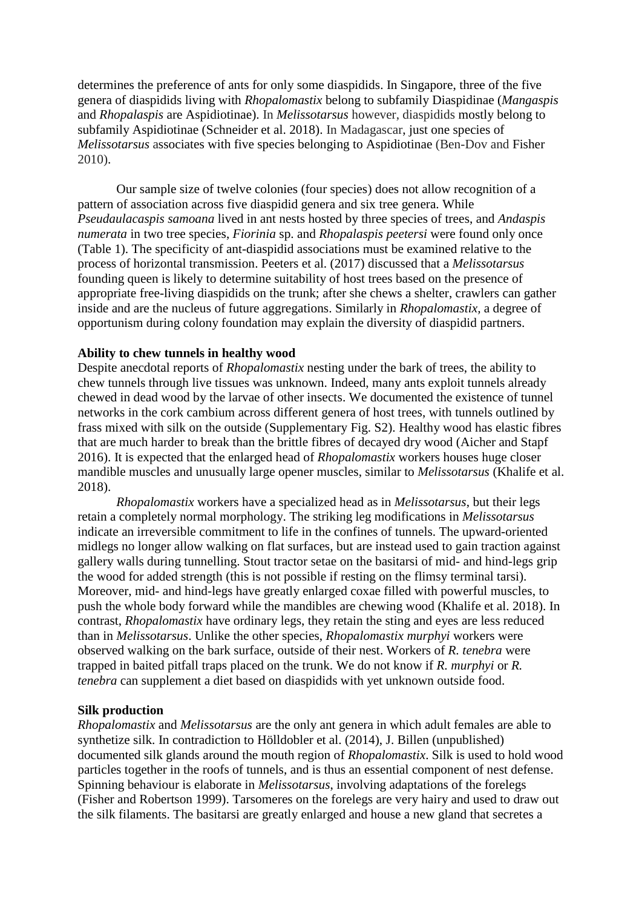determines the preference of ants for only some diaspidids. In Singapore, three of the five genera of diaspidids living with *Rhopalomastix* belong to subfamily Diaspidinae (*Mangaspis* and *Rhopalaspis* are Aspidiotinae). In *Melissotarsus* however, diaspidids mostly belong to subfamily Aspidiotinae (Schneider et al. 2018). In Madagascar, just one species of *Melissotarsus* associates with five species belonging to Aspidiotinae (Ben-Dov and Fisher 2010).

Our sample size of twelve colonies (four species) does not allow recognition of a pattern of association across five diaspidid genera and six tree genera. While *Pseudaulacaspis samoana* lived in ant nests hosted by three species of trees, and *Andaspis numerata* in two tree species, *Fiorinia* sp. and *Rhopalaspis peetersi* were found only once (Table 1). The specificity of ant-diaspidid associations must be examined relative to the process of horizontal transmission. Peeters et al. (2017) discussed that a *Melissotarsus* founding queen is likely to determine suitability of host trees based on the presence of appropriate free-living diaspidids on the trunk; after she chews a shelter, crawlers can gather inside and are the nucleus of future aggregations. Similarly in *Rhopalomastix,* a degree of opportunism during colony foundation may explain the diversity of diaspidid partners.

## **Ability to chew tunnels in healthy wood**

Despite anecdotal reports of *Rhopalomastix* nesting under the bark of trees, the ability to chew tunnels through live tissues was unknown. Indeed, many ants exploit tunnels already chewed in dead wood by the larvae of other insects. We documented the existence of tunnel networks in the cork cambium across different genera of host trees, with tunnels outlined by frass mixed with silk on the outside (Supplementary Fig. S2). Healthy wood has elastic fibres that are much harder to break than the brittle fibres of decayed dry wood (Aicher and Stapf 2016). It is expected that the enlarged head of *Rhopalomastix* workers houses huge closer mandible muscles and unusually large opener muscles, similar to *Melissotarsus* (Khalife et al. 2018).

*Rhopalomastix* workers have a specialized head as in *Melissotarsus*, but their legs retain a completely normal morphology. The striking leg modifications in *Melissotarsus* indicate an irreversible commitment to life in the confines of tunnels. The upward-oriented midlegs no longer allow walking on flat surfaces, but are instead used to gain traction against gallery walls during tunnelling. Stout tractor setae on the basitarsi of mid- and hind-legs grip the wood for added strength (this is not possible if resting on the flimsy terminal tarsi). Moreover, mid- and hind-legs have greatly enlarged coxae filled with powerful muscles, to push the whole body forward while the mandibles are chewing wood (Khalife et al. 2018). In contrast, *Rhopalomastix* have ordinary legs, they retain the sting and eyes are less reduced than in *Melissotarsus*. Unlike the other species, *Rhopalomastix murphyi* workers were observed walking on the bark surface, outside of their nest. Workers of *R. tenebra* were trapped in baited pitfall traps placed on the trunk. We do not know if *R. murphyi* or *R. tenebra* can supplement a diet based on diaspidids with yet unknown outside food.

#### **Silk production**

*Rhopalomastix* and *Melissotarsus* are the only ant genera in which adult females are able to synthetize silk. In contradiction to Hölldobler et al. (2014), J. Billen (unpublished) documented silk glands around the mouth region of *Rhopalomastix*. Silk is used to hold wood particles together in the roofs of tunnels, and is thus an essential component of nest defense. Spinning behaviour is elaborate in *Melissotarsus*, involving adaptations of the forelegs (Fisher and Robertson 1999). Tarsomeres on the forelegs are very hairy and used to draw out the silk filaments. The basitarsi are greatly enlarged and house a new gland that secretes a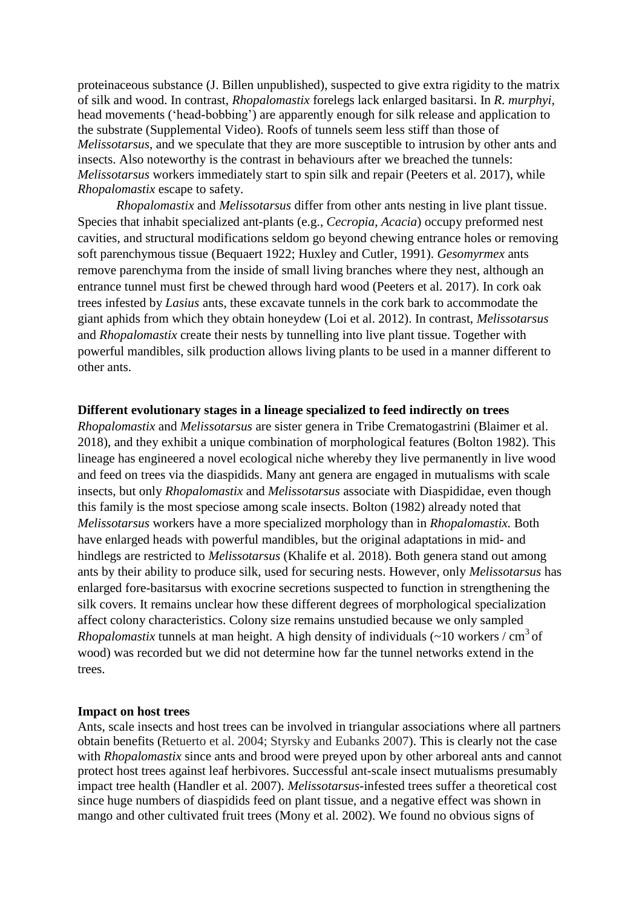proteinaceous substance (J. Billen unpublished), suspected to give extra rigidity to the matrix of silk and wood. In contrast, *Rhopalomastix* forelegs lack enlarged basitarsi. In *R. murphyi,* head movements ('head-bobbing') are apparently enough for silk release and application to the substrate (Supplemental Video). Roofs of tunnels seem less stiff than those of *Melissotarsus,* and we speculate that they are more susceptible to intrusion by other ants and insects. Also noteworthy is the contrast in behaviours after we breached the tunnels: *Melissotarsus* workers immediately start to spin silk and repair (Peeters et al. 2017), while *Rhopalomastix* escape to safety.

*Rhopalomastix* and *Melissotarsus* differ from other ants nesting in live plant tissue. Species that inhabit specialized ant-plants (e.g., *Cecropia*, *Acacia*) occupy preformed nest cavities, and structural modifications seldom go beyond chewing entrance holes or removing soft parenchymous tissue (Bequaert 1922; Huxley and Cutler, 1991). *Gesomyrmex* ants remove parenchyma from the inside of small living branches where they nest, although an entrance tunnel must first be chewed through hard wood (Peeters et al. 2017). In cork oak trees infested by *Lasius* ants, these excavate tunnels in the cork bark to accommodate the giant aphids from which they obtain honeydew (Loi et al. 2012). In contrast, *Melissotarsus*  and *Rhopalomastix* create their nests by tunnelling into live plant tissue. Together with powerful mandibles, silk production allows living plants to be used in a manner different to other ants.

# **Different evolutionary stages in a lineage specialized to feed indirectly on trees**

*Rhopalomastix* and *Melissotarsus* are sister genera in Tribe Crematogastrini (Blaimer et al. 2018), and they exhibit a unique combination of morphological features (Bolton 1982). This lineage has engineered a novel ecological niche whereby they live permanently in live wood and feed on trees via the diaspidids. Many ant genera are engaged in mutualisms with scale insects, but only *Rhopalomastix* and *Melissotarsus* associate with Diaspididae, even though this family is the most speciose among scale insects. Bolton (1982) already noted that *Melissotarsus* workers have a more specialized morphology than in *Rhopalomastix.* Both have enlarged heads with powerful mandibles, but the original adaptations in mid- and hindlegs are restricted to *Melissotarsus* (Khalife et al. 2018). Both genera stand out among ants by their ability to produce silk, used for securing nests. However, only *Melissotarsus* has enlarged fore-basitarsus with exocrine secretions suspected to function in strengthening the silk covers. It remains unclear how these different degrees of morphological specialization affect colony characteristics. Colony size remains unstudied because we only sampled *Rhopalomastix* tunnels at man height. A high density of individuals  $(-10 \text{ workers / cm}^3 \text{ of}$ wood) was recorded but we did not determine how far the tunnel networks extend in the trees.

#### **Impact on host trees**

Ants, scale insects and host trees can be involved in triangular associations where all partners obtain benefits (Retuerto et al. 2004; Styrsky and Eubanks 2007). This is clearly not the case with *Rhopalomastix* since ants and brood were preyed upon by other arboreal ants and cannot protect host trees against leaf herbivores. Successful ant-scale insect mutualisms presumably impact tree health (Handler et al. 2007). *Melissotarsus*-infested trees suffer a theoretical cost since huge numbers of diaspidids feed on plant tissue, and a negative effect was shown in mango and other cultivated fruit trees (Mony et al. 2002). We found no obvious signs of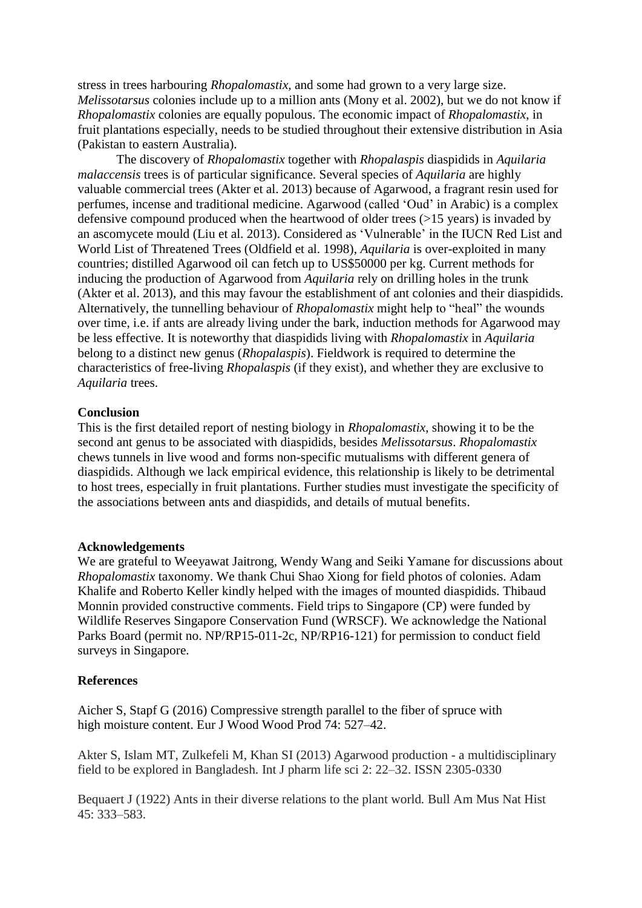stress in trees harbouring *Rhopalomastix,* and some had grown to a very large size. *Melissotarsus* colonies include up to a million ants (Mony et al. 2002), but we do not know if *Rhopalomastix* colonies are equally populous. The economic impact of *Rhopalomastix*, in fruit plantations especially, needs to be studied throughout their extensive distribution in Asia (Pakistan to eastern Australia).

The discovery of *Rhopalomastix* together with *Rhopalaspis* diaspidids in *Aquilaria malaccensis* trees is of particular significance. Several species of *Aquilaria* are highly valuable commercial trees (Akter et al. 2013) because of Agarwood, a fragrant resin used for perfumes, incense and traditional medicine. Agarwood (called 'Oud' in Arabic) is a complex defensive compound produced when the heartwood of older trees (>15 years) is invaded by an ascomycete mould (Liu et al. 2013). Considered as 'Vulnerable' in the IUCN Red List and World List of Threatened Trees (Oldfield et al. 1998), *Aquilaria* is over-exploited in many countries; distilled Agarwood oil can fetch up to US\$50000 per kg. Current methods for inducing the production of Agarwood from *Aquilaria* rely on drilling holes in the trunk (Akter et al. 2013), and this may favour the establishment of ant colonies and their diaspidids. Alternatively, the tunnelling behaviour of *Rhopalomastix* might help to "heal" the wounds over time, i.e. if ants are already living under the bark, induction methods for Agarwood may be less effective. It is noteworthy that diaspidids living with *Rhopalomastix* in *Aquilaria* belong to a distinct new genus (*Rhopalaspis*). Fieldwork is required to determine the characteristics of free-living *Rhopalaspis* (if they exist), and whether they are exclusive to *Aquilaria* trees.

## **Conclusion**

This is the first detailed report of nesting biology in *Rhopalomastix*, showing it to be the second ant genus to be associated with diaspidids, besides *Melissotarsus*. *Rhopalomastix*  chews tunnels in live wood and forms non-specific mutualisms with different genera of diaspidids. Although we lack empirical evidence, this relationship is likely to be detrimental to host trees, especially in fruit plantations. Further studies must investigate the specificity of the associations between ants and diaspidids, and details of mutual benefits.

# **Acknowledgements**

We are grateful to Weeyawat Jaitrong, Wendy Wang and Seiki Yamane for discussions about *Rhopalomastix* taxonomy. We thank Chui Shao Xiong for field photos of colonies. Adam Khalife and Roberto Keller kindly helped with the images of mounted diaspidids. Thibaud Monnin provided constructive comments. Field trips to Singapore (CP) were funded by Wildlife Reserves Singapore Conservation Fund (WRSCF). We acknowledge the National Parks Board (permit no. NP/RP15-011-2c, NP/RP16-121) for permission to conduct field surveys in Singapore.

# **References**

Aicher S, Stapf G (2016) Compressive strength parallel to the fiber of spruce with high moisture content. Eur J Wood Wood Prod 74: 527–42.

Akter S, Islam MT, Zulkefeli M, Khan SI (2013) Agarwood production - a multidisciplinary field to be explored in Bangladesh. Int J pharm life sci 2: 22–32. ISSN 2305-0330

Bequaert J (1922) Ants in their diverse relations to the plant world*.* Bull Am Mus Nat Hist 45: 333–583.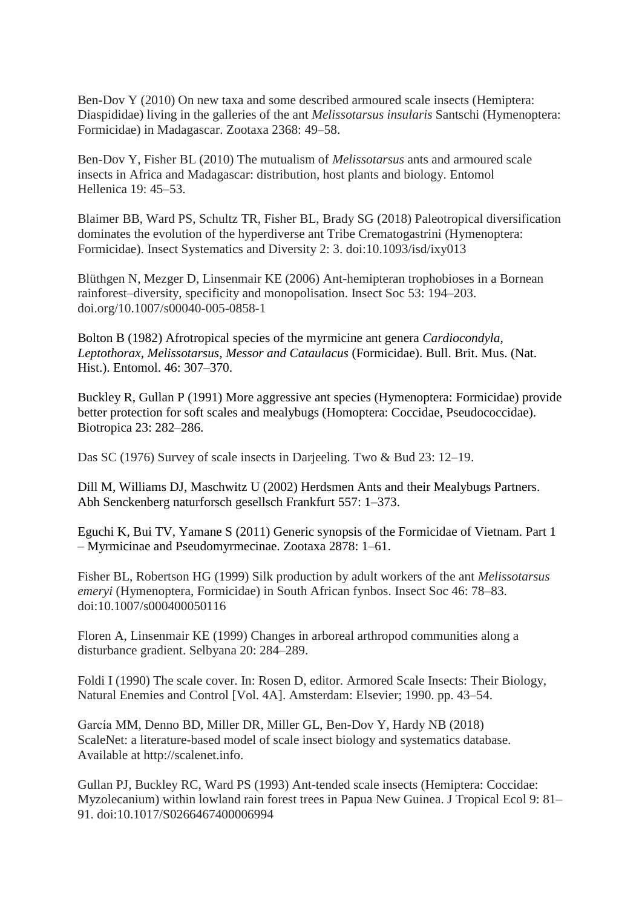Ben-Dov Y (2010) On new taxa and some described armoured scale insects (Hemiptera: Diaspididae) living in the galleries of the ant *Melissotarsus insularis* Santschi (Hymenoptera: Formicidae) in Madagascar. Zootaxa 2368: 49–58.

Ben-Dov Y, Fisher BL (2010) The mutualism of *Melissotarsus* ants and armoured scale insects in Africa and Madagascar: distribution, host plants and biology. Entomol Hellenica 19: 45–53.

Blaimer BB, Ward PS, Schultz TR, Fisher BL, Brady SG (2018) Paleotropical diversification dominates the evolution of the hyperdiverse ant Tribe Crematogastrini (Hymenoptera: Formicidae). Insect Systematics and Diversity 2: 3. doi:10.1093/isd/ixy013

Blüthgen N, Mezger D, Linsenmair KE (2006) Ant-hemipteran trophobioses in a Bornean rainforest–diversity, specificity and monopolisation. Insect Soc 53: 194–203. doi.org/10.1007/s00040-005-0858-1

Bolton B (1982) Afrotropical species of the myrmicine ant genera *Cardiocondyla, Leptothorax, Melissotarsus, Messor and Cataulacus* (Formicidae). Bull. Brit. Mus. (Nat. Hist.). Entomol. 46: 307–370.

Buckley R, Gullan P (1991) More aggressive ant species (Hymenoptera: Formicidae) provide better protection for soft scales and mealybugs (Homoptera: Coccidae, Pseudococcidae). Biotropica 23: 282–286.

Das SC (1976) Survey of scale insects in Darjeeling. Two & Bud 23: 12–19.

Dill M, Williams DJ, Maschwitz U (2002) Herdsmen Ants and their Mealybugs Partners. Abh Senckenberg naturforsch gesellsch Frankfurt 557: 1–373.

Eguchi K, Bui TV, Yamane S (2011) [Generic synopsis of the Formicidae of Vietnam. Part 1](http://www.antwiki.org/wiki/images/1/1e/Eguchi_Bui_Yamane_2011.pdf)  – [Myrmicinae and Pseudomyrmecinae. Zootaxa 2878: 1–61.](http://www.antwiki.org/wiki/images/1/1e/Eguchi_Bui_Yamane_2011.pdf)

Fisher BL, Robertson HG (1999) Silk production by adult workers of the ant *Melissotarsus emeryi* (Hymenoptera, Formicidae) in South African fynbos. Insect Soc 46: 78–83. doi:10.1007/s000400050116

Floren A, Linsenmair KE (1999) Changes in arboreal arthropod communities along a disturbance gradient. Selbyana 20: 284–289.

Foldi I (1990) The scale cover. In: Rosen D, editor. Armored Scale Insects: Their Biology, Natural Enemies and Control [Vol. 4A]. Amsterdam: Elsevier; 1990. pp. 43–54.

 MM, Denno BD, Miller DR, Miller GL, Ben-Dov Y, Hardy NB (2018) ScaleNet: a literature-based model of scale insect biology and systematics database. Available at http://scalenet.info.

Gullan PJ, Buckley RC, Ward PS (1993) Ant-tended scale insects (Hemiptera: Coccidae: Myzolecanium) within lowland rain forest trees in Papua New Guinea. J Tropical Ecol 9: 81– 91. doi:10.1017/S0266467400006994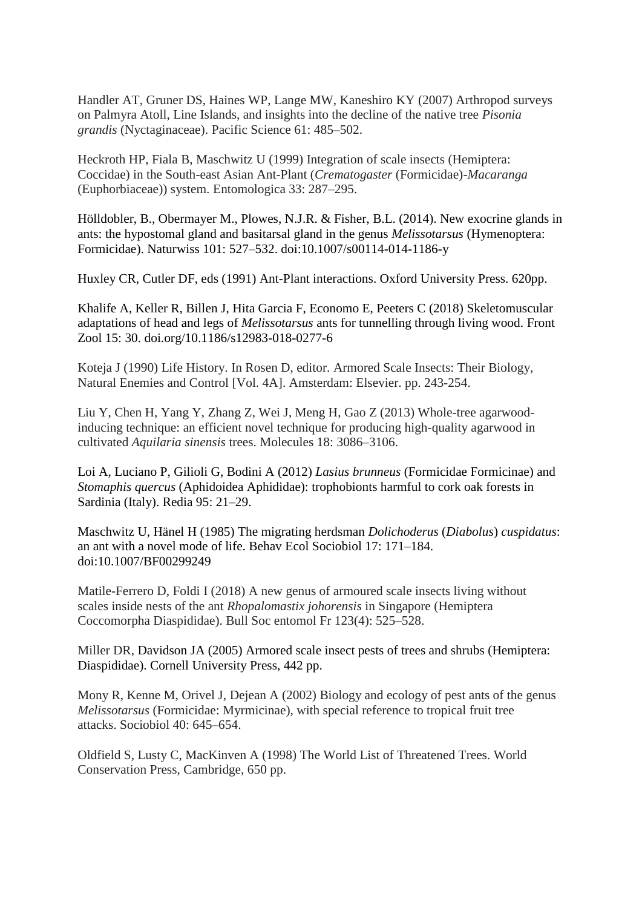Handler AT, Gruner DS, Haines WP, Lange MW, Kaneshiro KY (2007) Arthropod surveys on Palmyra Atoll, Line Islands, and insights into the decline of the native tree *Pisonia grandis* (Nyctaginaceae). Pacific Science 61: 485–502.

Heckroth HP, Fiala B, Maschwitz U (1999) Integration of scale insects (Hemiptera: Coccidae) in the South-east Asian Ant-Plant (*Crematogaster* (Formicidae)-*Macaranga* (Euphorbiaceae)) system. Entomologica 33: 287–295.

Hölldobler, B., Obermayer M., Plowes, N.J.R. & Fisher, B.L. (2014). New exocrine glands in ants: the hypostomal gland and basitarsal gland in the genus *Melissotarsus* (Hymenoptera: Formicidae). Naturwiss 101: 527–532. doi:10.1007/s00114-014-1186-y

Huxley CR, Cutler DF, eds (1991) Ant-Plant interactions. Oxford University Press. 620pp.

Khalife A, Keller R, Billen J, Hita Garcia F, Economo E, Peeters C (2018) Skeletomuscular adaptations of head and legs of *Melissotarsus* ants for tunnelling through living wood. Front Zool 15: 30. doi.org/10.1186/s12983-018-0277-6

Koteja J (1990) Life History. In Rosen D, editor. Armored Scale Insects: Their Biology, Natural Enemies and Control [Vol. 4A]. Amsterdam: Elsevier. pp. 243-254.

Liu Y, Chen H, Yang Y, Zhang Z, Wei J, Meng H, Gao Z (2013) Whole-tree agarwoodinducing technique: an efficient novel technique for producing high-quality agarwood in cultivated *Aquilaria sinensis* trees. Molecules 18: 3086–3106.

Loi A, Luciano P, Gilioli G, Bodini A (2012) *Lasius brunneus* (Formicidae Formicinae) and *Stomaphis quercus* (Aphidoidea Aphididae): trophobionts harmful to cork oak forests in Sardinia (Italy). Redia 95: 21–29.

Maschwitz U, Hänel H (1985) The migrating herdsman *Dolichoderus* (*Diabolus*) *cuspidatus*: an ant with a novel mode of life. Behav Ecol Sociobiol 17: 171–184. doi:10.1007/BF00299249

Matile-Ferrero D, Foldi I (2018) A new genus of armoured scale insects living without scales inside nests of the ant *Rhopalomastix johorensis* in Singapore (Hemiptera Coccomorpha Diaspididae). Bull Soc entomol Fr 123(4): 525–528.

Miller DR, Davidson JA (2005) Armored scale insect pests of trees and shrubs (Hemiptera: Diaspididae). Cornell University Press, 442 pp.

Mony R, Kenne M, Orivel J, Dejean A (2002) Biology and ecology of pest ants of the genus *Melissotarsus* (Formicidae: Myrmicinae), with special reference to tropical fruit tree attacks. Sociobiol 40: 645–654.

Oldfield S, Lusty C, MacKinven A (1998) The World List of Threatened Trees. World Conservation Press, Cambridge, 650 pp.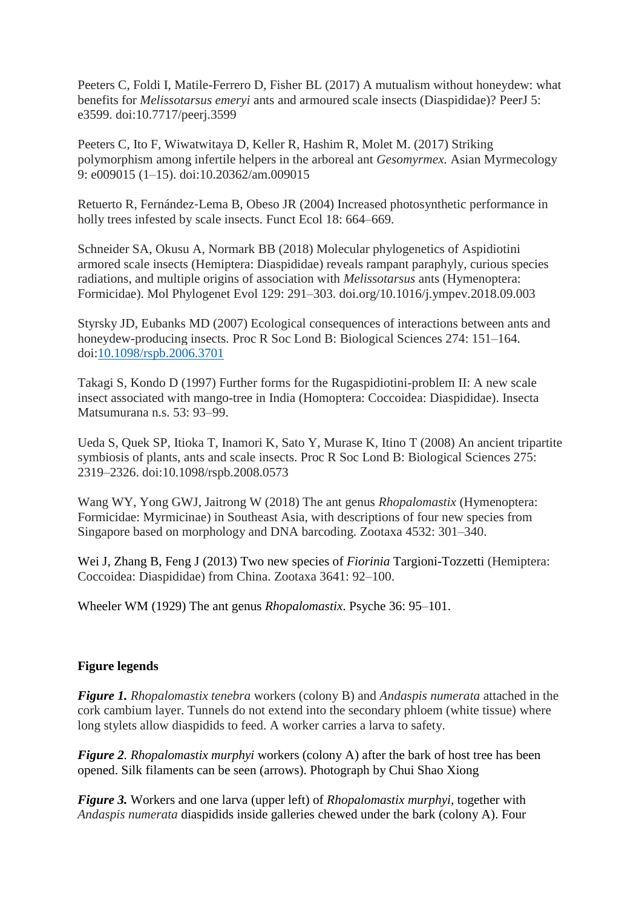Peeters C, Foldi I, Matile-Ferrero D, Fisher BL (2017) A mutualism without honeydew: what benefits for *Melissotarsus emeryi* ants and armoured scale insects (Diaspididae)? PeerJ 5: e3599. doi:10.7717/peerj.3599

Peeters C, Ito F, Wiwatwitaya D, Keller R, Hashim R, Molet M. (2017) Striking polymorphism among infertile helpers in the arboreal ant *Gesomyrmex.* Asian Myrmecology 9: e009015 (1–15). doi:10.20362/am.009015

Retuerto R, Fernández‐Lema B, Obeso JR (2004) Increased photosynthetic performance in holly trees infested by scale insects. Funct Ecol 18: 664–669.

Schneider SA, Okusu A, Normark BB (2018) Molecular phylogenetics of Aspidiotini armored scale insects (Hemiptera: Diaspididae) reveals rampant paraphyly, curious species radiations, and multiple origins of association with *Melissotarsus* ants (Hymenoptera: Formicidae). Mol Phylogenet Evol 129: 291–303. doi.org/10.1016/j.ympev.2018.09.003

Styrsky JD, Eubanks MD (2007) Ecological consequences of interactions between ants and honeydew-producing insects. Proc R Soc Lond B: Biological Sciences 274: 151–164. doi[:10.1098/rspb.2006.3701](https://dx.doi.org/10.1098%2Frspb.2006.3701)

Takagi S, Kondo D (1997) Further forms for the Rugaspidiotini-problem II: A new scale insect associated with mango-tree in India (Homoptera: Coccoidea: Diaspididae). Insecta Matsumurana n.s. 53: 93–99.

Ueda S, Quek SP, Itioka T, Inamori K, Sato Y, Murase K, Itino T (2008) An ancient tripartite symbiosis of plants, ants and scale insects. Proc R Soc Lond B: Biological Sciences 275: 2319–2326. doi:10.1098/rspb.2008.0573

Wang WY, Yong GWJ, Jaitrong W (2018) The ant genus *Rhopalomastix* (Hymenoptera: Formicidae: Myrmicinae) in Southeast Asia, with descriptions of four new species from Singapore based on morphology and DNA barcoding. Zootaxa 4532: 301–340.

Wei J, Zhang B, Feng J (2013) Two new species of *Fiorinia* Targioni-Tozzetti (Hemiptera: Coccoidea: Diaspididae) from China. Zootaxa 3641: 92–100.

Wheeler WM (1929) The ant genus *Rhopalomastix*. Psyche 36: 95–101.

# **Figure legends**

*Figure 1. Rhopalomastix tenebra* workers (colony B) and *Andaspis numerata* attached in the cork cambium layer. Tunnels do not extend into the secondary phloem (white tissue) where long stylets allow diaspidids to feed. A worker carries a larva to safety.

*Figure 2. Rhopalomastix murphyi* workers (colony A) after the bark of host tree has been opened. Silk filaments can be seen (arrows). Photograph by Chui Shao Xiong

*Figure 3.* Workers and one larva (upper left) of *Rhopalomastix murphyi,* together with *Andaspis numerata* diaspidids inside galleries chewed under the bark (colony A). Four